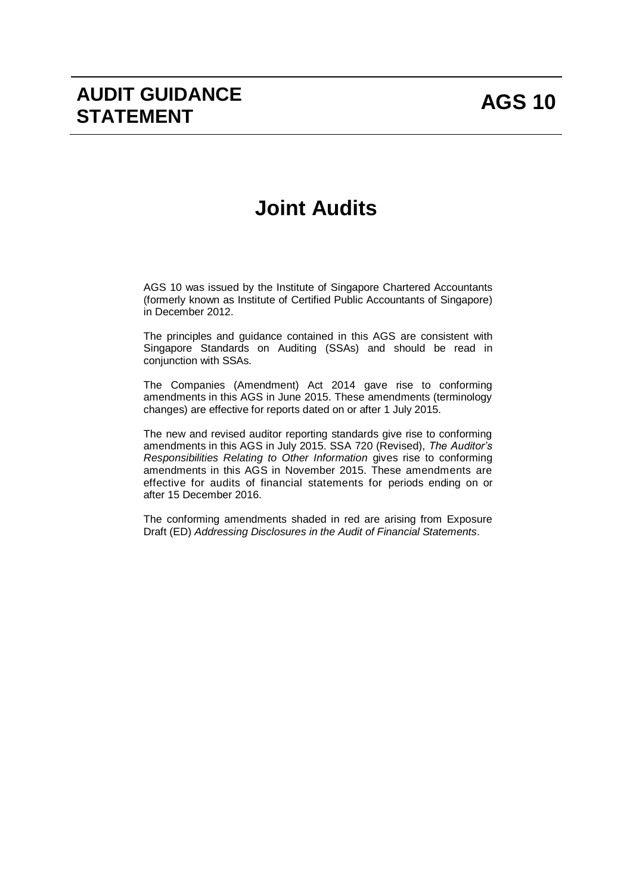# **Joint Audits**

AGS 10 was issued by the Institute of Singapore Chartered Accountants (formerly known as Institute of Certified Public Accountants of Singapore) in December 2012.

The principles and guidance contained in this AGS are consistent with Singapore Standards on Auditing (SSAs) and should be read in conjunction with SSAs.

The Companies (Amendment) Act 2014 gave rise to conforming amendments in this AGS in June 2015. These amendments (terminology changes) are effective for reports dated on or after 1 July 2015.

The new and revised auditor reporting standards give rise to conforming amendments in this AGS in July 2015. SSA 720 (Revised), *The Auditor's Responsibilities Relating to Other Information* gives rise to conforming amendments in this AGS in November 2015. These amendments are effective for audits of financial statements for periods ending on or after 15 December 2016.

The conforming amendments shaded in red are arising from Exposure Draft (ED) *Addressing Disclosures in the Audit of Financial Statements*.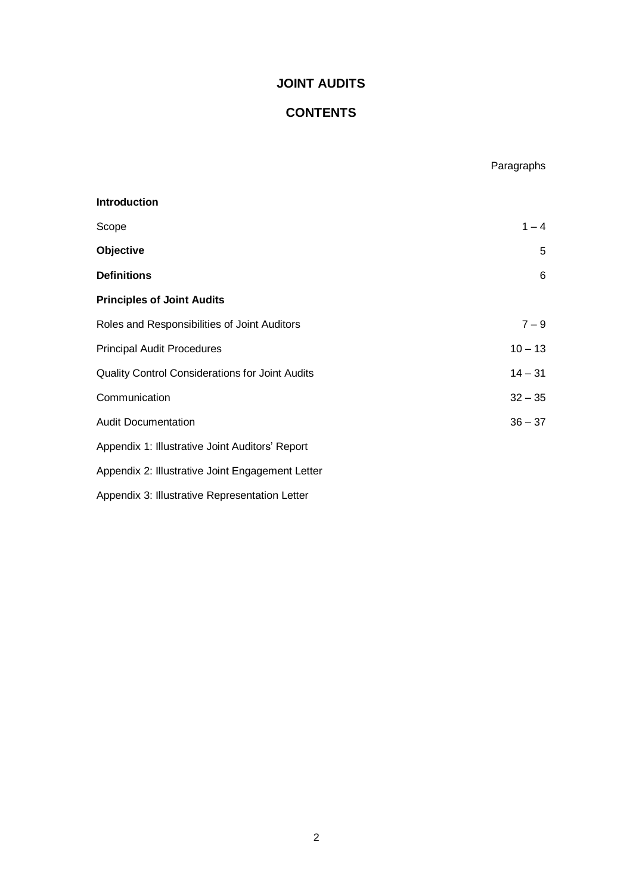## **JOINT AUDITS**

## **CONTENTS**

Paragraphs

# **Introduction**  $S$ cope  $1 - 4$ **Objective** 5 **Definitions** 6 **Principles of Joint Audits** Roles and Responsibilities of Joint Auditors  $7 - 9$ Principal Audit Procedures 10 – 13 Quality Control Considerations for Joint Audits 14 – 31 Communication 32 – 35 Audit Documentation 36 – 37 Appendix 1: Illustrative Joint Auditors' Report Appendix 2: Illustrative Joint Engagement Letter Appendix 3: Illustrative Representation Letter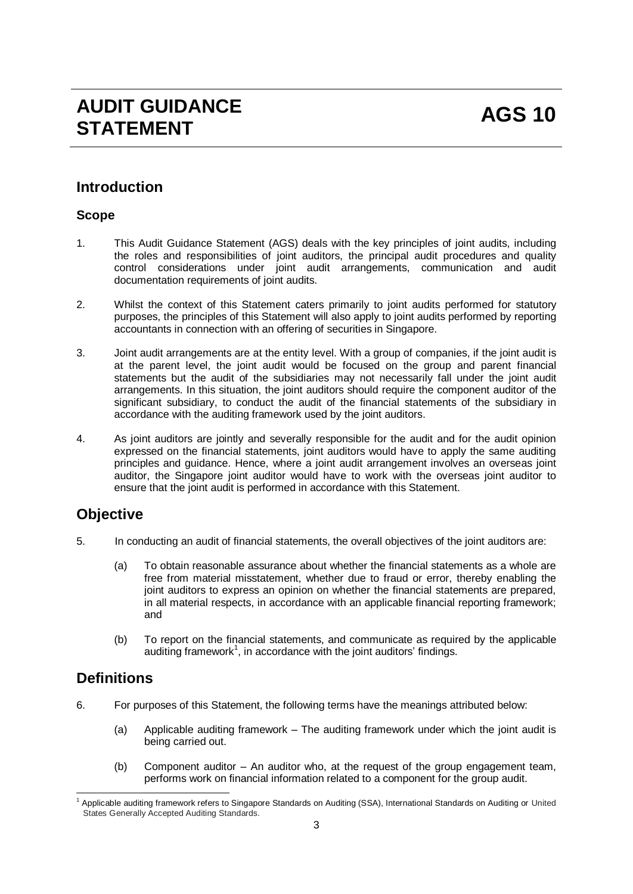# **AUDIT GUIDANCE**  AUDIT GUIDANCE<br>STATEMENT

# **Introduction**

## **Scope**

- 1. This Audit Guidance Statement (AGS) deals with the key principles of joint audits, including the roles and responsibilities of joint auditors, the principal audit procedures and quality control considerations under joint audit arrangements, communication and audit documentation requirements of joint audits.
- 2. Whilst the context of this Statement caters primarily to joint audits performed for statutory purposes, the principles of this Statement will also apply to joint audits performed by reporting accountants in connection with an offering of securities in Singapore.
- 3. Joint audit arrangements are at the entity level. With a group of companies, if the joint audit is at the parent level, the joint audit would be focused on the group and parent financial statements but the audit of the subsidiaries may not necessarily fall under the joint audit arrangements. In this situation, the joint auditors should require the component auditor of the significant subsidiary, to conduct the audit of the financial statements of the subsidiary in accordance with the auditing framework used by the joint auditors.
- 4. As joint auditors are jointly and severally responsible for the audit and for the audit opinion expressed on the financial statements, joint auditors would have to apply the same auditing principles and guidance. Hence, where a joint audit arrangement involves an overseas joint auditor, the Singapore joint auditor would have to work with the overseas joint auditor to ensure that the joint audit is performed in accordance with this Statement.

# **Objective**

- 5. In conducting an audit of financial statements, the overall objectives of the joint auditors are:
	- (a) To obtain reasonable assurance about whether the financial statements as a whole are free from material misstatement, whether due to fraud or error, thereby enabling the joint auditors to express an opinion on whether the financial statements are prepared, in all material respects, in accordance with an applicable financial reporting framework; and
	- (b) To report on the financial statements, and communicate as required by the applicable auditing framework $^1$ , in accordance with the joint auditors' findings.

# **Definitions**

- 6. For purposes of this Statement, the following terms have the meanings attributed below:
	- (a) Applicable auditing framework The auditing framework under which the joint audit is being carried out.
	- (b) Component auditor An auditor who, at the request of the group engagement team, performs work on financial information related to a component for the group audit.

<sup>-</sup><sup>1</sup> Applicable auditing framework refers to Singapore Standards on Auditing (SSA), International Standards on Auditing or United States Generally Accepted Auditing Standards.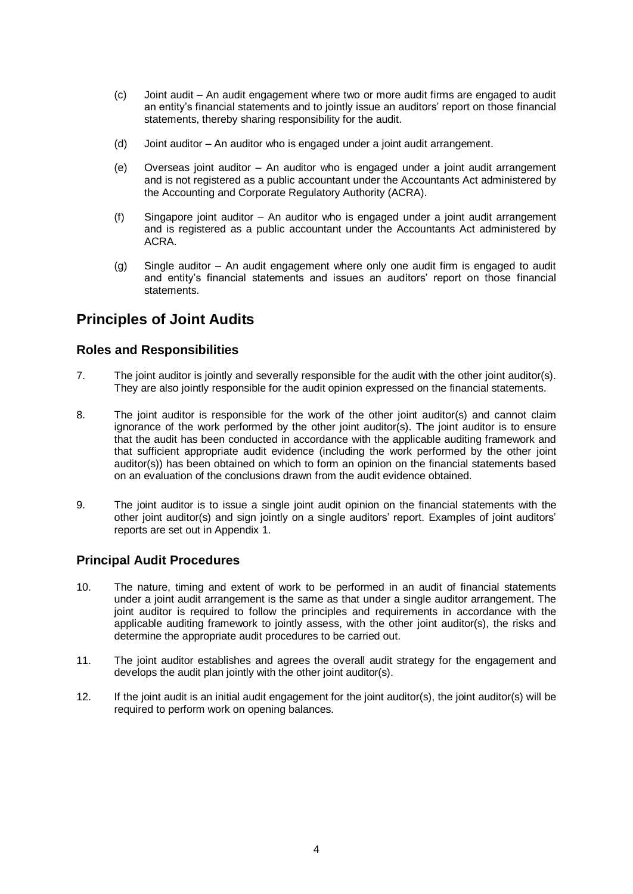- (c) Joint audit An audit engagement where two or more audit firms are engaged to audit an entity's financial statements and to jointly issue an auditors' report on those financial statements, thereby sharing responsibility for the audit.
- (d) Joint auditor An auditor who is engaged under a joint audit arrangement.
- (e) Overseas joint auditor An auditor who is engaged under a joint audit arrangement and is not registered as a public accountant under the Accountants Act administered by the Accounting and Corporate Regulatory Authority (ACRA).
- (f) Singapore joint auditor An auditor who is engaged under a joint audit arrangement and is registered as a public accountant under the Accountants Act administered by ACRA.
- (g) Single auditor An audit engagement where only one audit firm is engaged to audit and entity's financial statements and issues an auditors' report on those financial statements.

# **Principles of Joint Audits**

## **Roles and Responsibilities**

- 7. The joint auditor is jointly and severally responsible for the audit with the other joint auditor(s). They are also jointly responsible for the audit opinion expressed on the financial statements.
- 8. The joint auditor is responsible for the work of the other joint auditor(s) and cannot claim ignorance of the work performed by the other joint auditor(s). The joint auditor is to ensure that the audit has been conducted in accordance with the applicable auditing framework and that sufficient appropriate audit evidence (including the work performed by the other joint auditor(s)) has been obtained on which to form an opinion on the financial statements based on an evaluation of the conclusions drawn from the audit evidence obtained.
- 9. The joint auditor is to issue a single joint audit opinion on the financial statements with the other joint auditor(s) and sign jointly on a single auditors' report. Examples of joint auditors' reports are set out in Appendix 1.

### **Principal Audit Procedures**

- 10. The nature, timing and extent of work to be performed in an audit of financial statements under a joint audit arrangement is the same as that under a single auditor arrangement. The joint auditor is required to follow the principles and requirements in accordance with the applicable auditing framework to jointly assess, with the other joint auditor(s), the risks and determine the appropriate audit procedures to be carried out.
- 11. The joint auditor establishes and agrees the overall audit strategy for the engagement and develops the audit plan jointly with the other joint auditor(s).
- 12. If the joint audit is an initial audit engagement for the joint auditor(s), the joint auditor(s) will be required to perform work on opening balances.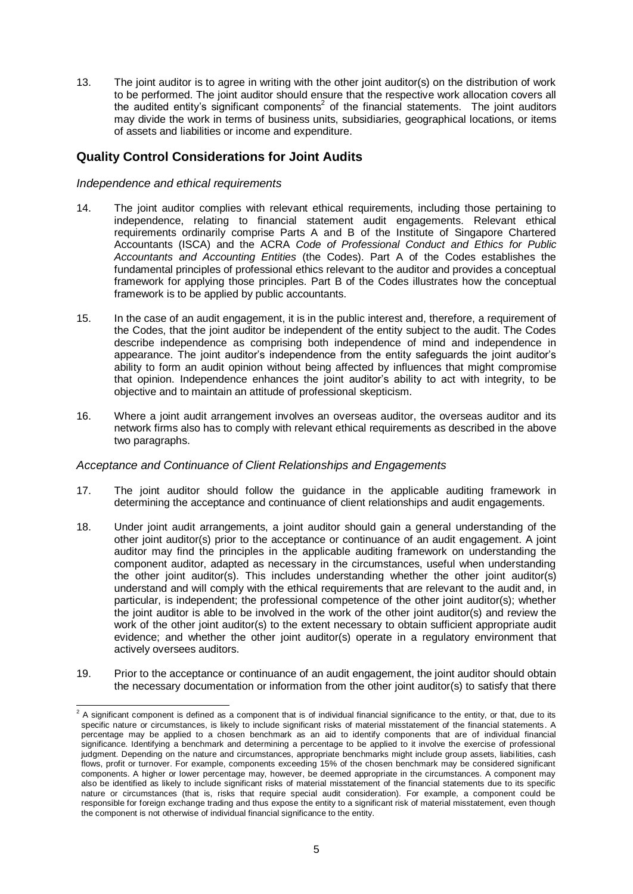13. The joint auditor is to agree in writing with the other joint auditor(s) on the distribution of work to be performed. The joint auditor should ensure that the respective work allocation covers all the audited entity's significant components<sup>2</sup> of the financial statements. The joint auditors may divide the work in terms of business units, subsidiaries, geographical locations, or items of assets and liabilities or income and expenditure.

## **Quality Control Considerations for Joint Audits**

#### *Independence and ethical requirements*

- 14. The joint auditor complies with relevant ethical requirements, including those pertaining to independence, relating to financial statement audit engagements. Relevant ethical requirements ordinarily comprise Parts A and B of the Institute of Singapore Chartered Accountants (ISCA) and the ACRA *Code of Professional Conduct and Ethics for Public Accountants and Accounting Entities* (the Codes). Part A of the Codes establishes the fundamental principles of professional ethics relevant to the auditor and provides a conceptual framework for applying those principles. Part B of the Codes illustrates how the conceptual framework is to be applied by public accountants.
- 15. In the case of an audit engagement, it is in the public interest and, therefore, a requirement of the Codes, that the joint auditor be independent of the entity subject to the audit. The Codes describe independence as comprising both independence of mind and independence in appearance. The joint auditor's independence from the entity safeguards the joint auditor's ability to form an audit opinion without being affected by influences that might compromise that opinion. Independence enhances the joint auditor's ability to act with integrity, to be objective and to maintain an attitude of professional skepticism.
- 16. Where a joint audit arrangement involves an overseas auditor, the overseas auditor and its network firms also has to comply with relevant ethical requirements as described in the above two paragraphs.

#### *Acceptance and Continuance of Client Relationships and Engagements*

- 17. The joint auditor should follow the guidance in the applicable auditing framework in determining the acceptance and continuance of client relationships and audit engagements.
- 18. Under joint audit arrangements, a joint auditor should gain a general understanding of the other joint auditor(s) prior to the acceptance or continuance of an audit engagement. A joint auditor may find the principles in the applicable auditing framework on understanding the component auditor, adapted as necessary in the circumstances, useful when understanding the other joint auditor(s). This includes understanding whether the other joint auditor(s) understand and will comply with the ethical requirements that are relevant to the audit and, in particular, is independent; the professional competence of the other joint auditor(s); whether the joint auditor is able to be involved in the work of the other joint auditor(s) and review the work of the other joint auditor(s) to the extent necessary to obtain sufficient appropriate audit evidence; and whether the other joint auditor(s) operate in a regulatory environment that actively oversees auditors.
- 19. Prior to the acceptance or continuance of an audit engagement, the joint auditor should obtain the necessary documentation or information from the other joint auditor(s) to satisfy that there

 2 A significant component is defined as a component that is of individual financial significance to the entity, or that, due to its specific nature or circumstances, is likely to include significant risks of material misstatement of the financial statements. A percentage may be applied to a chosen benchmark as an aid to identify components that are of individual financial significance. Identifying a benchmark and determining a percentage to be applied to it involve the exercise of professional judgment. Depending on the nature and circumstances, appropriate benchmarks might include group assets, liabilities, cash flows, profit or turnover. For example, components exceeding 15% of the chosen benchmark may be considered significant components. A higher or lower percentage may, however, be deemed appropriate in the circumstances. A component may also be identified as likely to include significant risks of material misstatement of the financial statements due to its specific nature or circumstances (that is, risks that require special audit consideration). For example, a component could be responsible for foreign exchange trading and thus expose the entity to a significant risk of material misstatement, even though responsible for foreign exchange trading and thus expose the entity to a significant risk of m the component is not otherwise of individual financial significance to the entity.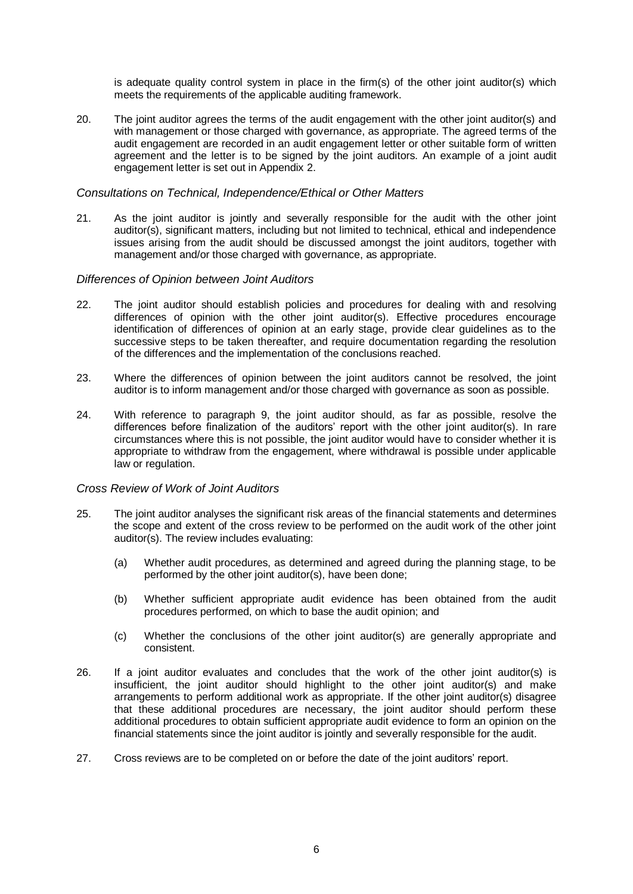is adequate quality control system in place in the firm(s) of the other joint auditor(s) which meets the requirements of the applicable auditing framework.

20. The joint auditor agrees the terms of the audit engagement with the other joint auditor(s) and with management or those charged with governance, as appropriate. The agreed terms of the audit engagement are recorded in an audit engagement letter or other suitable form of written agreement and the letter is to be signed by the joint auditors. An example of a joint audit engagement letter is set out in Appendix 2.

#### *Consultations on Technical, Independence/Ethical or Other Matters*

21. As the joint auditor is jointly and severally responsible for the audit with the other joint auditor(s), significant matters, including but not limited to technical, ethical and independence issues arising from the audit should be discussed amongst the joint auditors, together with management and/or those charged with governance, as appropriate.

#### *Differences of Opinion between Joint Auditors*

- 22. The joint auditor should establish policies and procedures for dealing with and resolving differences of opinion with the other joint auditor(s). Effective procedures encourage identification of differences of opinion at an early stage, provide clear guidelines as to the successive steps to be taken thereafter, and require documentation regarding the resolution of the differences and the implementation of the conclusions reached.
- 23. Where the differences of opinion between the joint auditors cannot be resolved, the joint auditor is to inform management and/or those charged with governance as soon as possible.
- 24. With reference to paragraph 9, the joint auditor should, as far as possible, resolve the differences before finalization of the auditors' report with the other joint auditor(s). In rare circumstances where this is not possible, the joint auditor would have to consider whether it is appropriate to withdraw from the engagement, where withdrawal is possible under applicable law or regulation.

#### *Cross Review of Work of Joint Auditors*

- 25. The joint auditor analyses the significant risk areas of the financial statements and determines the scope and extent of the cross review to be performed on the audit work of the other joint auditor(s). The review includes evaluating:
	- (a) Whether audit procedures, as determined and agreed during the planning stage, to be performed by the other joint auditor(s), have been done;
	- (b) Whether sufficient appropriate audit evidence has been obtained from the audit procedures performed, on which to base the audit opinion; and
	- (c) Whether the conclusions of the other joint auditor(s) are generally appropriate and consistent.
- 26. If a joint auditor evaluates and concludes that the work of the other joint auditor(s) is insufficient, the joint auditor should highlight to the other joint auditor(s) and make arrangements to perform additional work as appropriate. If the other joint auditor(s) disagree that these additional procedures are necessary, the joint auditor should perform these additional procedures to obtain sufficient appropriate audit evidence to form an opinion on the financial statements since the joint auditor is jointly and severally responsible for the audit.
- 27. Cross reviews are to be completed on or before the date of the joint auditors' report.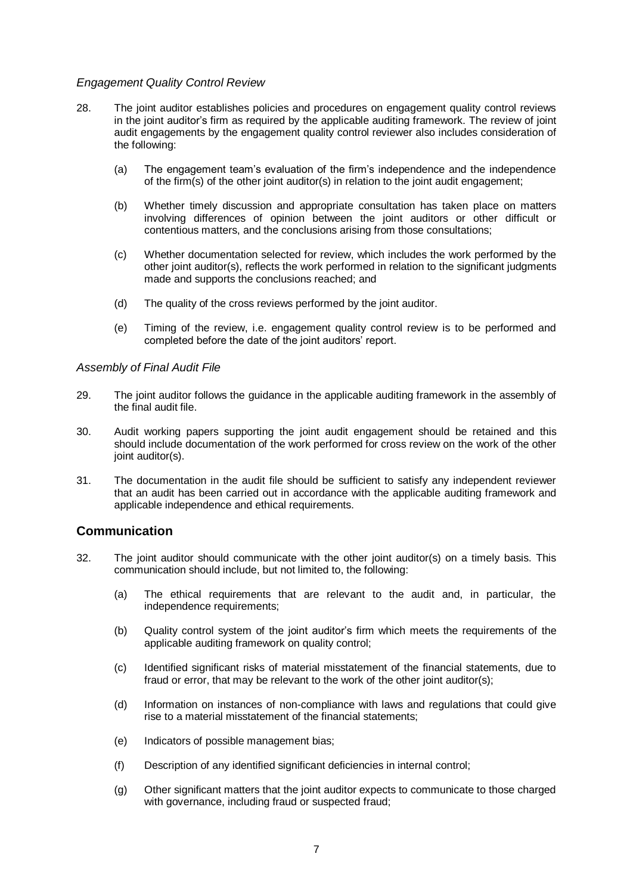#### *Engagement Quality Control Review*

- 28. The joint auditor establishes policies and procedures on engagement quality control reviews in the joint auditor's firm as required by the applicable auditing framework. The review of joint audit engagements by the engagement quality control reviewer also includes consideration of the following:
	- (a) The engagement team's evaluation of the firm's independence and the independence of the firm(s) of the other joint auditor(s) in relation to the joint audit engagement;
	- (b) Whether timely discussion and appropriate consultation has taken place on matters involving differences of opinion between the joint auditors or other difficult or contentious matters, and the conclusions arising from those consultations;
	- (c) Whether documentation selected for review, which includes the work performed by the other joint auditor(s), reflects the work performed in relation to the significant judgments made and supports the conclusions reached; and
	- (d) The quality of the cross reviews performed by the joint auditor.
	- (e) Timing of the review, i.e. engagement quality control review is to be performed and completed before the date of the joint auditors' report.

#### *Assembly of Final Audit File*

- 29. The joint auditor follows the guidance in the applicable auditing framework in the assembly of the final audit file.
- 30. Audit working papers supporting the joint audit engagement should be retained and this should include documentation of the work performed for cross review on the work of the other joint auditor(s).
- 31. The documentation in the audit file should be sufficient to satisfy any independent reviewer that an audit has been carried out in accordance with the applicable auditing framework and applicable independence and ethical requirements.

### **Communication**

- 32. The joint auditor should communicate with the other joint auditor(s) on a timely basis. This communication should include, but not limited to, the following:
	- (a) The ethical requirements that are relevant to the audit and, in particular, the independence requirements;
	- (b) Quality control system of the joint auditor's firm which meets the requirements of the applicable auditing framework on quality control;
	- (c) Identified significant risks of material misstatement of the financial statements, due to fraud or error, that may be relevant to the work of the other joint auditor(s);
	- (d) Information on instances of non-compliance with laws and regulations that could give rise to a material misstatement of the financial statements;
	- (e) Indicators of possible management bias;
	- (f) Description of any identified significant deficiencies in internal control;
	- (g) Other significant matters that the joint auditor expects to communicate to those charged with governance, including fraud or suspected fraud;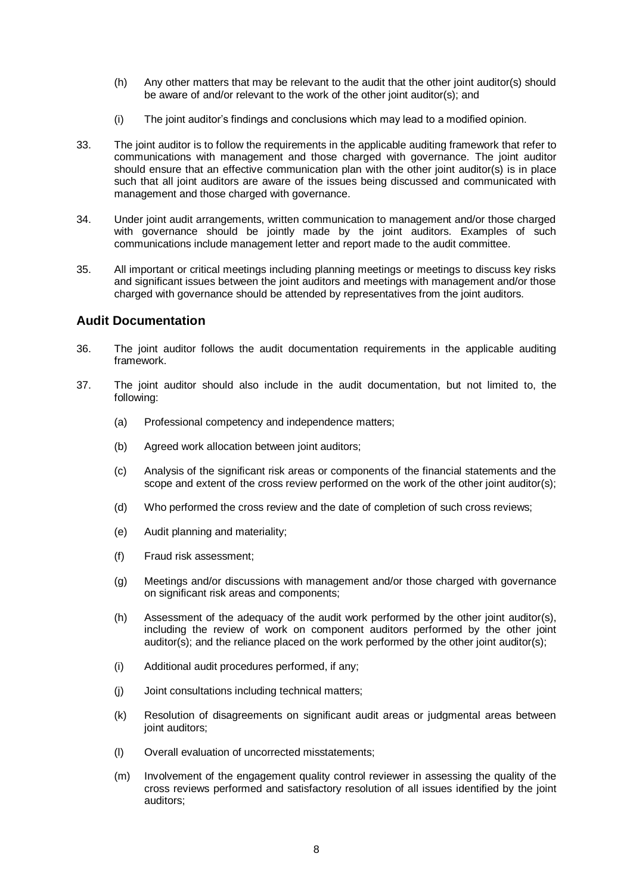- (h) Any other matters that may be relevant to the audit that the other joint auditor(s) should be aware of and/or relevant to the work of the other joint auditor(s); and
- (i) The joint auditor's findings and conclusions which may lead to a modified opinion.
- 33. The joint auditor is to follow the requirements in the applicable auditing framework that refer to communications with management and those charged with governance. The joint auditor should ensure that an effective communication plan with the other joint auditor(s) is in place such that all joint auditors are aware of the issues being discussed and communicated with management and those charged with governance.
- 34. Under joint audit arrangements, written communication to management and/or those charged with governance should be jointly made by the joint auditors. Examples of such communications include management letter and report made to the audit committee.
- 35. All important or critical meetings including planning meetings or meetings to discuss key risks and significant issues between the joint auditors and meetings with management and/or those charged with governance should be attended by representatives from the joint auditors.

#### **Audit Documentation**

- 36. The joint auditor follows the audit documentation requirements in the applicable auditing framework.
- 37. The joint auditor should also include in the audit documentation, but not limited to, the following:
	- (a) Professional competency and independence matters;
	- (b) Agreed work allocation between joint auditors;
	- (c) Analysis of the significant risk areas or components of the financial statements and the scope and extent of the cross review performed on the work of the other joint auditor(s);
	- (d) Who performed the cross review and the date of completion of such cross reviews;
	- (e) Audit planning and materiality;
	- (f) Fraud risk assessment;
	- (g) Meetings and/or discussions with management and/or those charged with governance on significant risk areas and components;
	- (h) Assessment of the adequacy of the audit work performed by the other joint auditor(s), including the review of work on component auditors performed by the other joint auditor(s); and the reliance placed on the work performed by the other joint auditor(s);
	- (i) Additional audit procedures performed, if any;
	- (j) Joint consultations including technical matters;
	- (k) Resolution of disagreements on significant audit areas or judgmental areas between joint auditors;
	- (l) Overall evaluation of uncorrected misstatements;
	- (m) Involvement of the engagement quality control reviewer in assessing the quality of the cross reviews performed and satisfactory resolution of all issues identified by the joint auditors;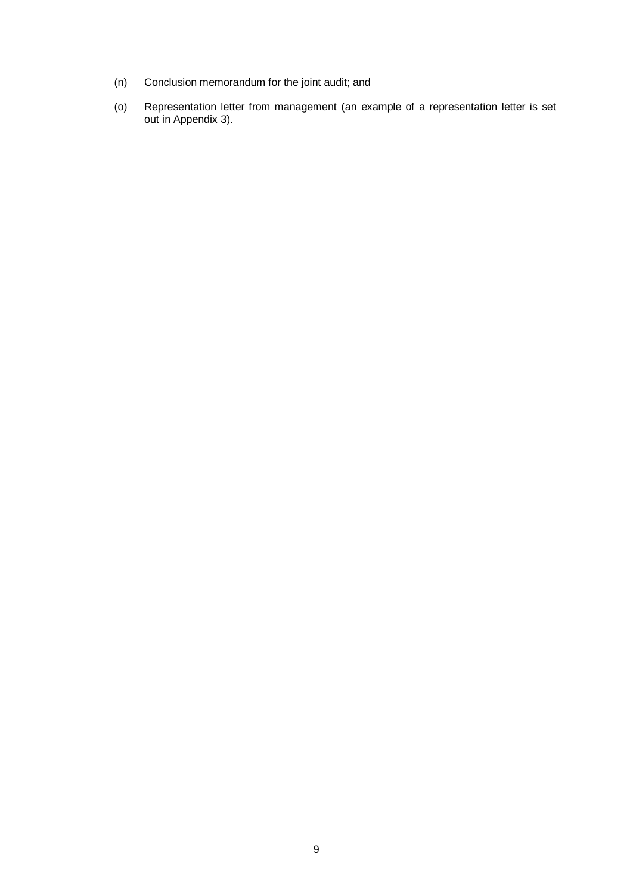- (n) Conclusion memorandum for the joint audit; and
- (o) Representation letter from management (an example of a representation letter is set out in Appendix 3).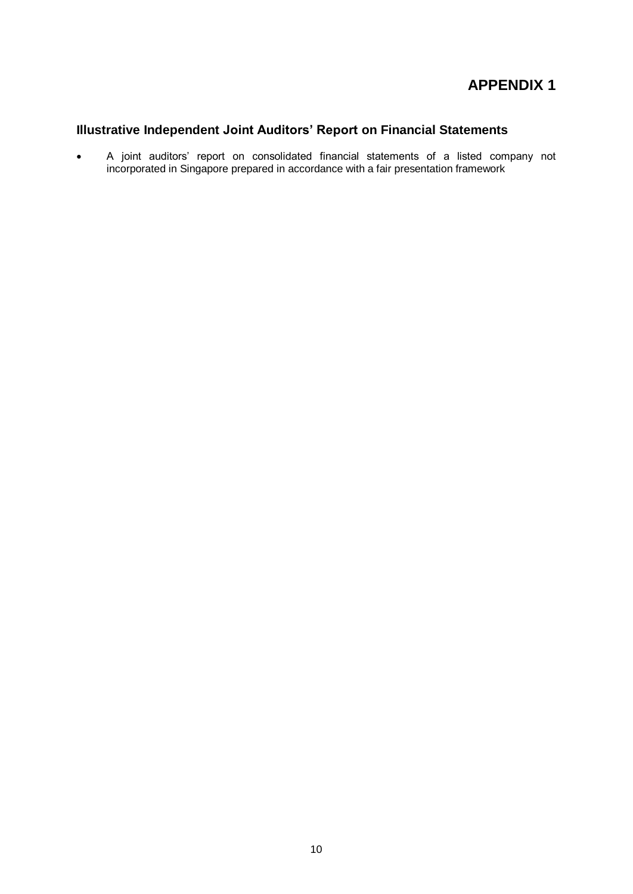# **APPENDIX 1**

# **Illustrative Independent Joint Auditors' Report on Financial Statements**

 A joint auditors' report on consolidated financial statements of a listed company not incorporated in Singapore prepared in accordance with a fair presentation framework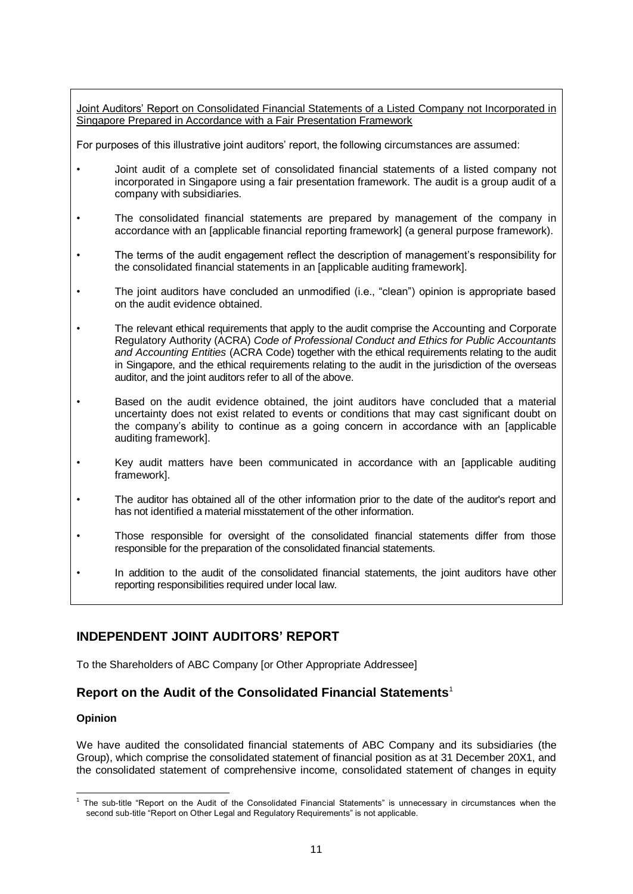Joint Auditors' Report on Consolidated Financial Statements of a Listed Company not Incorporated in Singapore Prepared in Accordance with a Fair Presentation Framework

For purposes of this illustrative joint auditors' report, the following circumstances are assumed:

- Joint audit of a complete set of consolidated financial statements of a listed company not incorporated in Singapore using a fair presentation framework. The audit is a group audit of a company with subsidiaries.
- The consolidated financial statements are prepared by management of the company in accordance with an [applicable financial reporting framework] (a general purpose framework).
- The terms of the audit engagement reflect the description of management's responsibility for the consolidated financial statements in an [applicable auditing framework].
- The joint auditors have concluded an unmodified (i.e., "clean") opinion is appropriate based on the audit evidence obtained.
- The relevant ethical requirements that apply to the audit comprise the Accounting and Corporate Regulatory Authority (ACRA) *Code of Professional Conduct and Ethics for Public Accountants and Accounting Entities* (ACRA Code) together with the ethical requirements relating to the audit in Singapore, and the ethical requirements relating to the audit in the jurisdiction of the overseas auditor, and the joint auditors refer to all of the above.
- Based on the audit evidence obtained, the joint auditors have concluded that a material uncertainty does not exist related to events or conditions that may cast significant doubt on the company's ability to continue as a going concern in accordance with an [applicable auditing framework].
- Key audit matters have been communicated in accordance with an [applicable auditing framework].
- The auditor has obtained all of the other information prior to the date of the auditor's report and has not identified a material misstatement of the other information.
- Those responsible for oversight of the consolidated financial statements differ from those responsible for the preparation of the consolidated financial statements.
- In addition to the audit of the consolidated financial statements, the joint auditors have other reporting responsibilities required under local law.

# **INDEPENDENT JOINT AUDITORS' REPORT**

To the Shareholders of ABC Company [or Other Appropriate Addressee]

## **Report on the Audit of the Consolidated Financial Statements**<sup>1</sup>

#### **Opinion**

We have audited the consolidated financial statements of ABC Company and its subsidiaries (the Group), which comprise the consolidated statement of financial position as at 31 December 20X1, and the consolidated statement of comprehensive income, consolidated statement of changes in equity

 1 The sub-title "Report on the Audit of the Consolidated Financial Statements" is unnecessary in circumstances when the second sub-title "Report on Other Legal and Regulatory Requirements" is not applicable.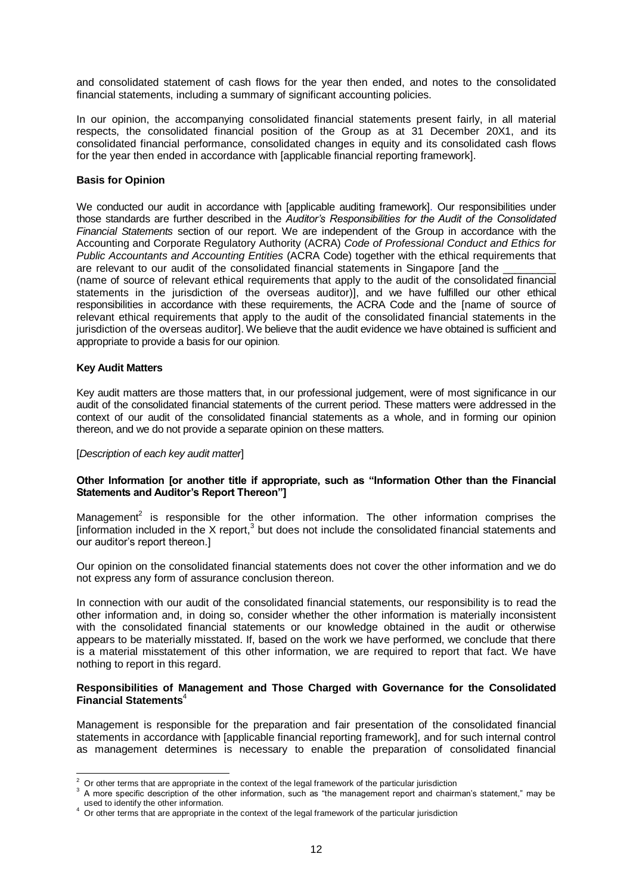and consolidated statement of cash flows for the year then ended, and notes to the consolidated financial statements, including a summary of significant accounting policies.

In our opinion, the accompanying consolidated financial statements present fairly, in all material respects, the consolidated financial position of the Group as at 31 December 20X1, and its consolidated financial performance, consolidated changes in equity and its consolidated cash flows for the year then ended in accordance with [applicable financial reporting framework].

#### **Basis for Opinion**

We conducted our audit in accordance with [applicable auditing framework]. Our responsibilities under those standards are further described in the *Auditor's Responsibilities for the Audit of the Consolidated Financial Statements* section of our report. We are independent of the Group in accordance with the Accounting and Corporate Regulatory Authority (ACRA) *Code of Professional Conduct and Ethics for Public Accountants and Accounting Entities* (ACRA Code) together with the ethical requirements that are relevant to our audit of the consolidated financial statements in Singapore [and the (name of source of relevant ethical requirements that apply to the audit of the consolidated financial statements in the jurisdiction of the overseas auditor)], and we have fulfilled our other ethical responsibilities in accordance with these requirements, the ACRA Code and the [name of source of relevant ethical requirements that apply to the audit of the consolidated financial statements in the jurisdiction of the overseas auditor]. We believe that the audit evidence we have obtained is sufficient and appropriate to provide a basis for our opinion.

#### **Key Audit Matters**

Key audit matters are those matters that, in our professional judgement, were of most significance in our audit of the consolidated financial statements of the current period. These matters were addressed in the context of our audit of the consolidated financial statements as a whole, and in forming our opinion thereon, and we do not provide a separate opinion on these matters.

#### [*Description of each key audit matter*]

#### **Other Information [or another title if appropriate, such as "Information Other than the Financial Statements and Auditor's Report Thereon"]**

Management<sup>2</sup> is responsible for the other information. The other information comprises the [information included in the X report, $3$  but does not include the consolidated financial statements and our auditor's report thereon.]

Our opinion on the consolidated financial statements does not cover the other information and we do not express any form of assurance conclusion thereon.

In connection with our audit of the consolidated financial statements, our responsibility is to read the other information and, in doing so, consider whether the other information is materially inconsistent with the consolidated financial statements or our knowledge obtained in the audit or otherwise appears to be materially misstated. If, based on the work we have performed, we conclude that there is a material misstatement of this other information, we are required to report that fact. We have nothing to report in this regard.

#### **Responsibilities of Management and Those Charged with Governance for the Consolidated Financial Statements**<sup>4</sup>

Management is responsible for the preparation and fair presentation of the consolidated financial statements in accordance with [applicable financial reporting framework], and for such internal control as management determines is necessary to enable the preparation of consolidated financial

<sup>1</sup> <sup>2</sup> Or other terms that are appropriate in the context of the legal framework of the particular jurisdiction  $\frac{3}{2}$   $\Lambda$  mere appear and obeing

A more specific description of the other information, such as "the management report and chairman's statement," may be used to identify the other information.

<sup>&</sup>lt;sup>4</sup> Or other terms that are appropriate in the context of the legal framework of the particular jurisdiction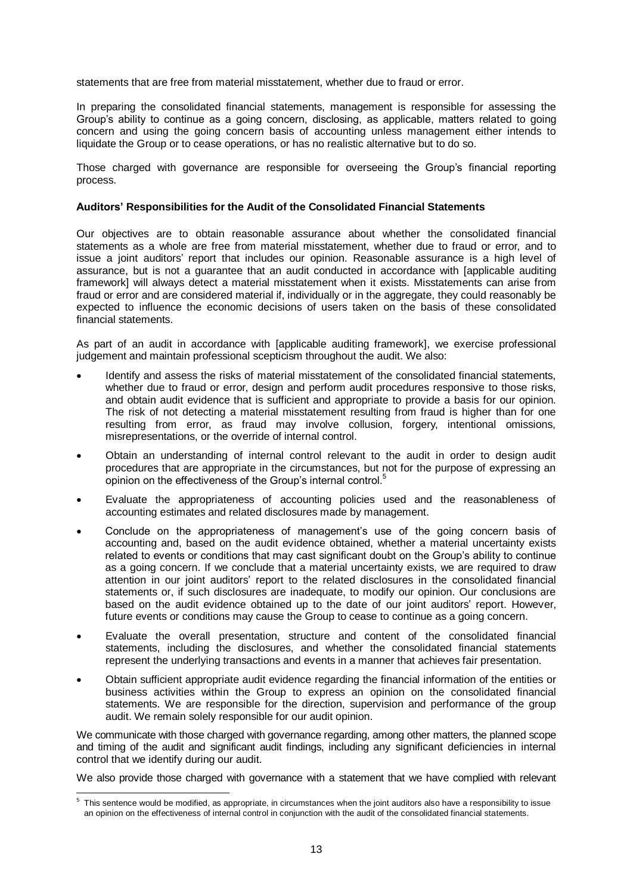statements that are free from material misstatement, whether due to fraud or error.

In preparing the consolidated financial statements, management is responsible for assessing the Group's ability to continue as a going concern, disclosing, as applicable, matters related to going concern and using the going concern basis of accounting unless management either intends to liquidate the Group or to cease operations, or has no realistic alternative but to do so.

Those charged with governance are responsible for overseeing the Group's financial reporting process.

#### **Auditors' Responsibilities for the Audit of the Consolidated Financial Statements**

Our objectives are to obtain reasonable assurance about whether the consolidated financial statements as a whole are free from material misstatement, whether due to fraud or error, and to issue a joint auditors' report that includes our opinion. Reasonable assurance is a high level of assurance, but is not a guarantee that an audit conducted in accordance with [applicable auditing framework] will always detect a material misstatement when it exists. Misstatements can arise from fraud or error and are considered material if, individually or in the aggregate, they could reasonably be expected to influence the economic decisions of users taken on the basis of these consolidated financial statements.

As part of an audit in accordance with [applicable auditing framework], we exercise professional judgement and maintain professional scepticism throughout the audit. We also:

- Identify and assess the risks of material misstatement of the consolidated financial statements, whether due to fraud or error, design and perform audit procedures responsive to those risks, and obtain audit evidence that is sufficient and appropriate to provide a basis for our opinion. The risk of not detecting a material misstatement resulting from fraud is higher than for one resulting from error, as fraud may involve collusion, forgery, intentional omissions, misrepresentations, or the override of internal control.
- Obtain an understanding of internal control relevant to the audit in order to design audit procedures that are appropriate in the circumstances, but not for the purpose of expressing an opinion on the effectiveness of the Group's internal control.<sup>5</sup>
- Evaluate the appropriateness of accounting policies used and the reasonableness of accounting estimates and related disclosures made by management.
- Conclude on the appropriateness of management's use of the going concern basis of accounting and, based on the audit evidence obtained, whether a material uncertainty exists related to events or conditions that may cast significant doubt on the Group's ability to continue as a going concern. If we conclude that a material uncertainty exists, we are required to draw attention in our joint auditors' report to the related disclosures in the consolidated financial statements or, if such disclosures are inadequate, to modify our opinion. Our conclusions are based on the audit evidence obtained up to the date of our joint auditors' report. However, future events or conditions may cause the Group to cease to continue as a going concern.
- Evaluate the overall presentation, structure and content of the consolidated financial statements, including the disclosures, and whether the consolidated financial statements represent the underlying transactions and events in a manner that achieves fair presentation.
- Obtain sufficient appropriate audit evidence regarding the financial information of the entities or business activities within the Group to express an opinion on the consolidated financial statements. We are responsible for the direction, supervision and performance of the group audit. We remain solely responsible for our audit opinion.

We communicate with those charged with governance regarding, among other matters, the planned scope and timing of the audit and significant audit findings, including any significant deficiencies in internal control that we identify during our audit.

We also provide those charged with governance with a statement that we have complied with relevant

 5 This sentence would be modified, as appropriate, in circumstances when the joint auditors also have a responsibility to issue an opinion on the effectiveness of internal control in conjunction with the audit of the consolidated financial statements.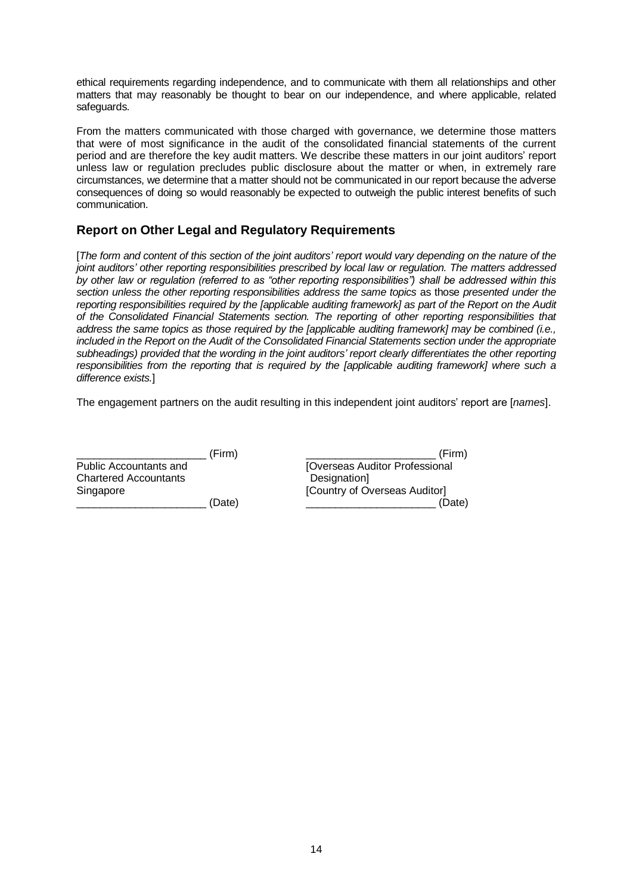ethical requirements regarding independence, and to communicate with them all relationships and other matters that may reasonably be thought to bear on our independence, and where applicable, related safeguards.

From the matters communicated with those charged with governance, we determine those matters that were of most significance in the audit of the consolidated financial statements of the current period and are therefore the key audit matters. We describe these matters in our joint auditors' report unless law or regulation precludes public disclosure about the matter or when, in extremely rare circumstances, we determine that a matter should not be communicated in our report because the adverse consequences of doing so would reasonably be expected to outweigh the public interest benefits of such communication.

## **Report on Other Legal and Regulatory Requirements**

[*The form and content of this section of the joint auditors' report would vary depending on the nature of the joint auditors' other reporting responsibilities prescribed by local law or regulation. The matters addressed by other law or regulation (referred to as "other reporting responsibilities") shall be addressed within this section unless the other reporting responsibilities address the same topics* as those *presented under the reporting responsibilities required by the [applicable auditing framework] as part of the Report on the Audit of the Consolidated Financial Statements section. The reporting of other reporting responsibilities that address the same topics as those required by the [applicable auditing framework] may be combined (i.e., included in the Report on the Audit of the Consolidated Financial Statements section under the appropriate subheadings) provided that the wording in the joint auditors' report clearly differentiates the other reporting responsibilities from the reporting that is required by the [applicable auditing framework] where such a difference exists.*]

The engagement partners on the audit resulting in this independent joint auditors' report are [*names*].

|                              | (Firm) | (Firm)                         |
|------------------------------|--------|--------------------------------|
| Public Accountants and       |        | [Overseas Auditor Professional |
| <b>Chartered Accountants</b> |        | Designation]                   |
| Singapore                    |        | [Country of Overseas Auditor]  |
|                              | (Date) | (Date)                         |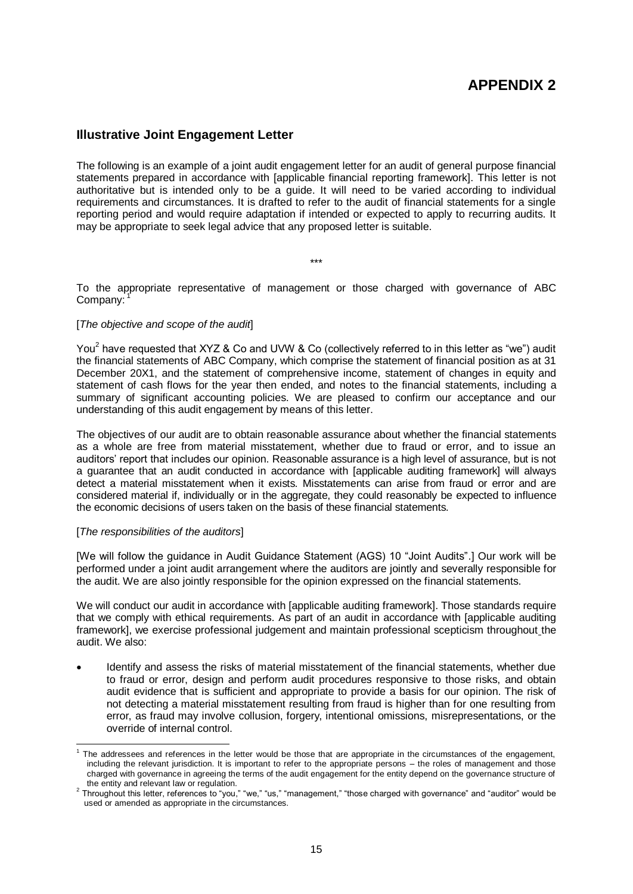# **APPENDIX 2**

## **Illustrative Joint Engagement Letter**

The following is an example of a joint audit engagement letter for an audit of general purpose financial statements prepared in accordance with [applicable financial reporting framework]. This letter is not authoritative but is intended only to be a guide. It will need to be varied according to individual requirements and circumstances. It is drafted to refer to the audit of financial statements for a single reporting period and would require adaptation if intended or expected to apply to recurring audits. It may be appropriate to seek legal advice that any proposed letter is suitable.

\*\*\*

To the appropriate representative of management or those charged with governance of ABC Company:

#### [*The objective and scope of the audit*]

You<sup>2</sup> have requested that XYZ & Co and UVW & Co (collectively referred to in this letter as "we") audit the financial statements of ABC Company, which comprise the statement of financial position as at 31 December 20X1, and the statement of comprehensive income, statement of changes in equity and statement of cash flows for the year then ended, and notes to the financial statements, including a summary of significant accounting policies. We are pleased to confirm our acceptance and our understanding of this audit engagement by means of this letter.

The objectives of our audit are to obtain reasonable assurance about whether the financial statements as a whole are free from material misstatement, whether due to fraud or error, and to issue an auditors' report that includes our opinion. Reasonable assurance is a high level of assurance, but is not a guarantee that an audit conducted in accordance with [applicable auditing framework] will always detect a material misstatement when it exists. Misstatements can arise from fraud or error and are considered material if, individually or in the aggregate, they could reasonably be expected to influence the economic decisions of users taken on the basis of these financial statements.

#### [*The responsibilities of the auditors*]

-

[We will follow the guidance in Audit Guidance Statement (AGS) 10 "Joint Audits".] Our work will be performed under a joint audit arrangement where the auditors are jointly and severally responsible for the audit. We are also jointly responsible for the opinion expressed on the financial statements.

We will conduct our audit in accordance with [applicable auditing framework]. Those standards require that we comply with ethical requirements. As part of an audit in accordance with [applicable auditing framework], we exercise professional judgement and maintain professional scepticism throughout the audit. We also:

 Identify and assess the risks of material misstatement of the financial statements, whether due to fraud or error, design and perform audit procedures responsive to those risks, and obtain audit evidence that is sufficient and appropriate to provide a basis for our opinion. The risk of not detecting a material misstatement resulting from fraud is higher than for one resulting from error, as fraud may involve collusion, forgery, intentional omissions, misrepresentations, or the override of internal control.

<sup>&</sup>lt;sup>1</sup> The addressees and references in the letter would be those that are appropriate in the circumstances of the engagement, including the relevant jurisdiction. It is important to refer to the appropriate persons – the roles of management and those charged with governance in agreeing the terms of the audit engagement for the entity depend on the governance structure of

the entity and relevant law or regulation.<br><sup>2</sup> Throughout this letter, references to "you," "we," "us," "management," "those charged with governance" and "auditor" would be used or amended as appropriate in the circumstances.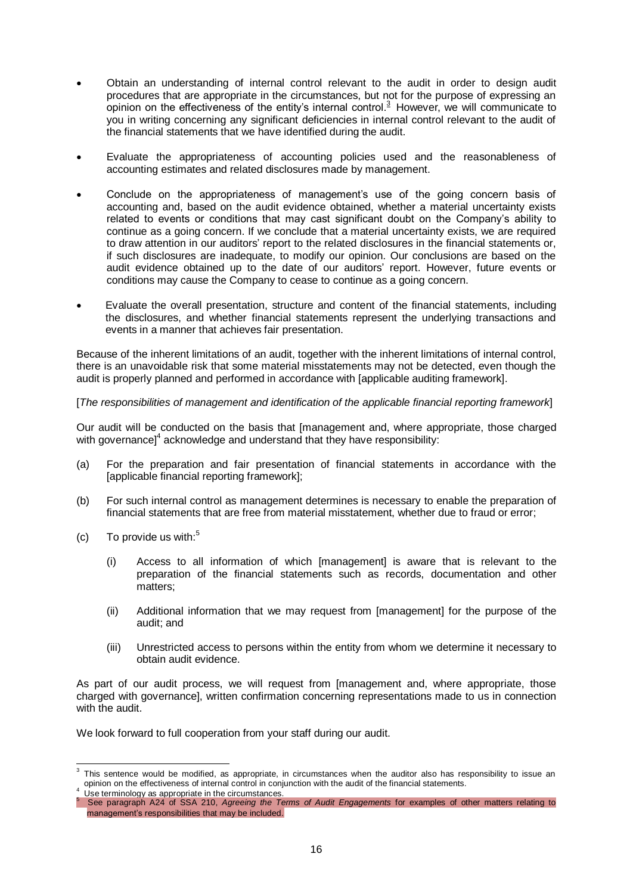- Obtain an understanding of internal control relevant to the audit in order to design audit procedures that are appropriate in the circumstances, but not for the purpose of expressing an procedures that are appropriate in the choding to control.<sup>3</sup> However, we will communicate to opinion on the effectiveness of the entity's internal control.<sup>3</sup> However, we will communicate to you in writing concerning any significant deficiencies in internal control relevant to the audit of the financial statements that we have identified during the audit.
- Evaluate the appropriateness of accounting policies used and the reasonableness of accounting estimates and related disclosures made by management.
- Conclude on the appropriateness of management's use of the going concern basis of accounting and, based on the audit evidence obtained, whether a material uncertainty exists related to events or conditions that may cast significant doubt on the Company's ability to continue as a going concern. If we conclude that a material uncertainty exists, we are required to draw attention in our auditors' report to the related disclosures in the financial statements or, if such disclosures are inadequate, to modify our opinion. Our conclusions are based on the audit evidence obtained up to the date of our auditors' report. However, future events or conditions may cause the Company to cease to continue as a going concern.
- Evaluate the overall presentation, structure and content of the financial statements, including the disclosures, and whether financial statements represent the underlying transactions and events in a manner that achieves fair presentation.

Because of the inherent limitations of an audit, together with the inherent limitations of internal control, there is an unavoidable risk that some material misstatements may not be detected, even though the audit is properly planned and performed in accordance with [applicable auditing framework].

#### [*The responsibilities of management and identification of the applicable financial reporting framework*]

Our audit will be conducted on the basis that [management and, where appropriate, those charged with governance]<sup>4</sup> acknowledge and understand that they have responsibility:

- (a) For the preparation and fair presentation of financial statements in accordance with the [applicable financial reporting framework];
- (b) For such internal control as management determines is necessary to enable the preparation of financial statements that are free from material misstatement, whether due to fraud or error;
- (c) To provide us with: $5$ 
	- (i) Access to all information of which [management] is aware that is relevant to the preparation of the financial statements such as records, documentation and other matters;
	- (ii) Additional information that we may request from [management] for the purpose of the audit; and
	- (iii) Unrestricted access to persons within the entity from whom we determine it necessary to obtain audit evidence.

As part of our audit process, we will request from [management and, where appropriate, those charged with governance], written confirmation concerning representations made to us in connection with the audit.

We look forward to full cooperation from your staff during our audit.

 3 This sentence would be modified, as appropriate, in circumstances when the auditor also has responsibility to issue an opinion on the effectiveness of internal control in conjunction with the audit of the financial statements.

<sup>&</sup>lt;sup>4</sup> Use terminology as appropriate in the circumstances.

<sup>5</sup> See paragraph A24 of SSA 210, *Agreeing the Terms of Audit Engagements* for examples of other matters relating to management's responsibilities that may be included.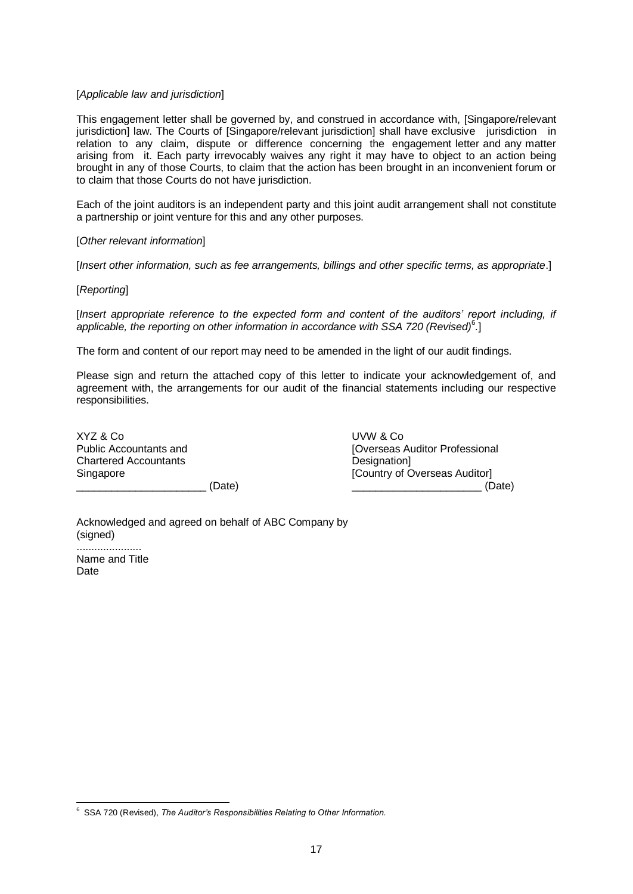#### [*Applicable law and jurisdiction*]

This engagement letter shall be governed by, and construed in accordance with, [Singapore/relevant jurisdiction] law. The Courts of [Singapore/relevant jurisdiction] shall have exclusive jurisdiction in relation to any claim, dispute or difference concerning the engagement letter and any matter arising from it. Each party irrevocably waives any right it may have to object to an action being brought in any of those Courts, to claim that the action has been brought in an inconvenient forum or to claim that those Courts do not have jurisdiction.

Each of the joint auditors is an independent party and this joint audit arrangement shall not constitute a partnership or joint venture for this and any other purposes.

#### [*Other relevant information*]

[*Insert other information, such as fee arrangements, billings and other specific terms, as appropriate*.]

#### [*Reporting*]

[*Insert appropriate reference to the expected form and content of the auditors' report including, if*  applicable, the reporting on other information in accordance with SSA 720 (Revised)<sup>6</sup>.

The form and content of our report may need to be amended in the light of our audit findings.

Please sign and return the attached copy of this letter to indicate your acknowledgement of, and agreement with, the arrangements for our audit of the financial statements including our respective responsibilities.

| XYZ & Co                      |          |
|-------------------------------|----------|
| <b>Public Accountants and</b> |          |
| <b>Chartered Accountants</b>  |          |
| Singapore                     |          |
|                               | $/$ Dota |

UVW & Co [Overseas Auditor Professional Designation] [Country of Overseas Auditor] \_\_\_\_\_\_\_\_\_\_\_\_\_\_\_\_\_\_\_\_\_\_ (Date) \_\_\_\_\_\_\_\_\_\_\_\_\_\_\_\_\_\_\_\_\_\_ (Date)

Acknowledged and agreed on behalf of ABC Company by (signed)

...................... Name and Title **Date** 

 6 SSA 720 (Revised), *The Auditor's Responsibilities Relating to Other Information.*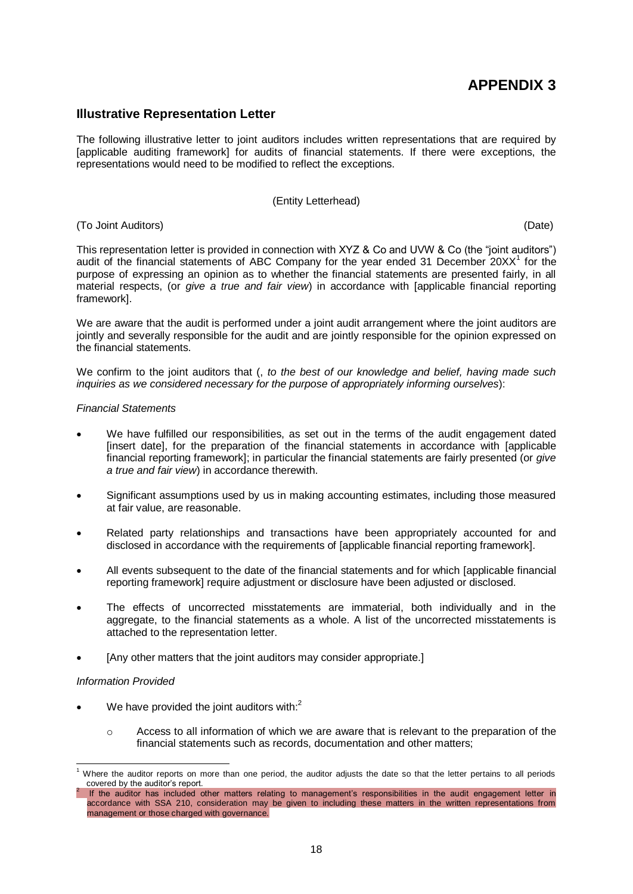# **APPENDIX 3**

#### **Illustrative Representation Letter**

The following illustrative letter to joint auditors includes written representations that are required by [applicable auditing framework] for audits of financial statements. If there were exceptions, the representations would need to be modified to reflect the exceptions.

#### (Entity Letterhead)

#### (To Joint Auditors) (Date)

This representation letter is provided in connection with XYZ & Co and UVW & Co (the "joint auditors") audit of the financial statements of ABC Company for the year ended 31 December  $20XX<sup>1</sup>$  for the purpose of expressing an opinion as to whether the financial statements are presented fairly, in all material respects, (or *give a true and fair view*) in accordance with [applicable financial reporting framework].

We are aware that the audit is performed under a joint audit arrangement where the joint auditors are jointly and severally responsible for the audit and are jointly responsible for the opinion expressed on the financial statements.

We confirm to the joint auditors that (, *to the best of our knowledge and belief, having made such inquiries as we considered necessary for the purpose of appropriately informing ourselves*):

#### *Financial Statements*

- We have fulfilled our responsibilities, as set out in the terms of the audit engagement dated [insert date], for the preparation of the financial statements in accordance with [applicable financial reporting framework]; in particular the financial statements are fairly presented (or *give a true and fair view*) in accordance therewith.
- Significant assumptions used by us in making accounting estimates, including those measured at fair value, are reasonable.
- Related party relationships and transactions have been appropriately accounted for and disclosed in accordance with the requirements of [applicable financial reporting framework].
- All events subsequent to the date of the financial statements and for which [applicable financial reporting framework] require adjustment or disclosure have been adjusted or disclosed.
- The effects of uncorrected misstatements are immaterial, both individually and in the aggregate, to the financial statements as a whole. A list of the uncorrected misstatements is attached to the representation letter.
- [Any other matters that the joint auditors may consider appropriate.]

#### *Information Provided*

-

- We have provided the joint auditors with: $<sup>2</sup>$ </sup>
	- $\circ$  Access to all information of which we are aware that is relevant to the preparation of the financial statements such as records, documentation and other matters;

Where the auditor reports on more than one period, the auditor adjusts the date so that the letter pertains to all periods covered by the auditor's report. 2

If the auditor has included other matters relating to management's responsibilities in the audit engagement letter in accordance with SSA 210, consideration may be given to including these matters in the written representations from management or those charged with governance.